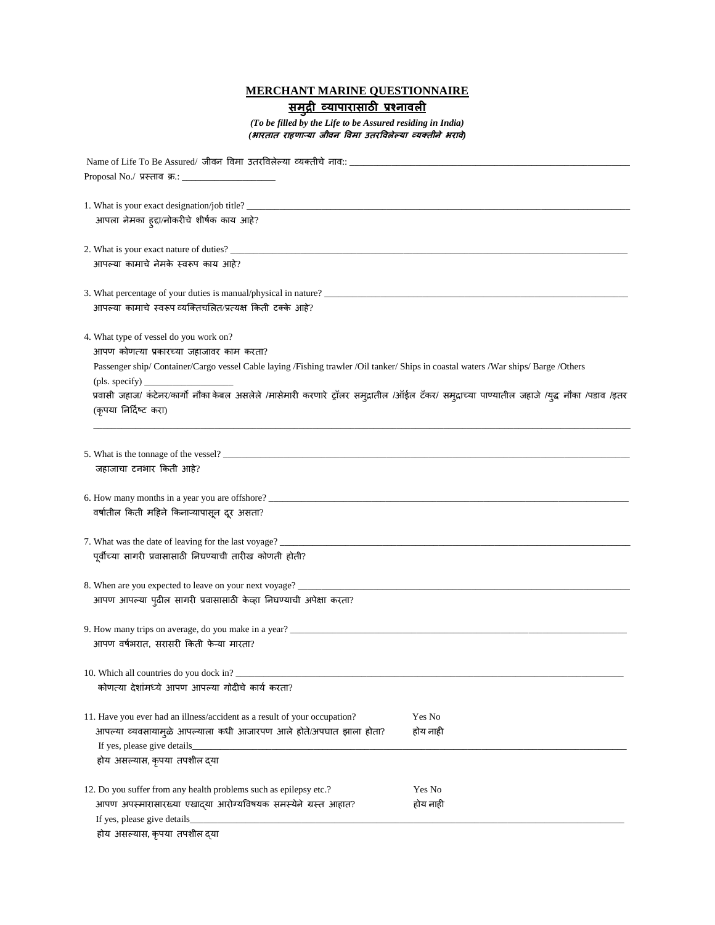## **MERCHANT MARINE QUESTIONNAIRE**

## **समुद्री व्यापारासाठी प्रश्नावली**

*(To be filled by the Life to be Assured residing in India) (भारतात राहणाऱ्या जीवन विमा उतरविलेल्या व्यक्तीने भरावे)* 

| Name of Life To Be Assured/ जीवन विमा उतरविलेल्या व्यक्तीचे नाव:: __<br>Proposal No./ प्रस्ताव क्र.: ____                                     |          |  |  |  |  |
|-----------------------------------------------------------------------------------------------------------------------------------------------|----------|--|--|--|--|
|                                                                                                                                               |          |  |  |  |  |
|                                                                                                                                               |          |  |  |  |  |
| आपला नेमका ह्दा/नोकरीचे शीर्षक काय आहे?                                                                                                       |          |  |  |  |  |
|                                                                                                                                               |          |  |  |  |  |
|                                                                                                                                               |          |  |  |  |  |
| आपल्या कामाचे नेमके स्वरूप काय आहे?                                                                                                           |          |  |  |  |  |
|                                                                                                                                               |          |  |  |  |  |
|                                                                                                                                               |          |  |  |  |  |
| आपल्या कामाचे स्वरूप व्यक्तिचलित/प्रत्यक्ष किती टक्के आहे?                                                                                    |          |  |  |  |  |
|                                                                                                                                               |          |  |  |  |  |
| 4. What type of vessel do you work on?                                                                                                        |          |  |  |  |  |
| आपण कोणत्या प्रकारच्या जहाजावर काम करता?                                                                                                      |          |  |  |  |  |
| Passenger ship/ Container/Cargo vessel Cable laying /Fishing trawler /Oil tanker/ Ships in coastal waters /War ships/ Barge /Others           |          |  |  |  |  |
| $(\text{pls. specify})$                                                                                                                       |          |  |  |  |  |
| प्रवासी जहाज/ कंटेनर/कार्गो नौका केबल असलेले /मासेमारी करणारे ट्रॉलर समुद्रातील /ऑईल टॅकर/ समुद्राच्या पाण्यातील जहाजे /युद्ध नौका /पडाव /इतर |          |  |  |  |  |
| (कृपया निर्दिष्ट करा)                                                                                                                         |          |  |  |  |  |
|                                                                                                                                               |          |  |  |  |  |
|                                                                                                                                               |          |  |  |  |  |
| 5. What is the tonnage of the vessel?                                                                                                         |          |  |  |  |  |
| जहाजाचा टनभार किती आहे?                                                                                                                       |          |  |  |  |  |
|                                                                                                                                               |          |  |  |  |  |
|                                                                                                                                               |          |  |  |  |  |
| वर्षातील किती महिने किनाऱ्यापासून दूर असता?                                                                                                   |          |  |  |  |  |
|                                                                                                                                               |          |  |  |  |  |
|                                                                                                                                               |          |  |  |  |  |
| पूर्वीच्या सागरी प्रवासासाठी निघण्याची तारीख कोणती होती?                                                                                      |          |  |  |  |  |
|                                                                                                                                               |          |  |  |  |  |
| 8. When are you expected to leave on your next voyage? __________________________                                                             |          |  |  |  |  |
| आपण आपल्या पुढील सागरी प्रवासासाठी केव्हा निघण्याची अपेक्षा करता?                                                                             |          |  |  |  |  |
|                                                                                                                                               |          |  |  |  |  |
| 9. How many trips on average, do you make in a year? ____________________________                                                             |          |  |  |  |  |
| आपण वर्षभरात, सरासरी किती फेऱ्या मारता?                                                                                                       |          |  |  |  |  |
|                                                                                                                                               |          |  |  |  |  |
| 10. Which all countries do you dock in?                                                                                                       |          |  |  |  |  |
| कोणत्या देशांमध्ये आपण आपल्या गोदीचे कार्य करता?                                                                                              |          |  |  |  |  |
|                                                                                                                                               |          |  |  |  |  |
| 11. Have you ever had an illness/accident as a result of your occupation?                                                                     | Yes No   |  |  |  |  |
| आपल्या व्यवसायामुळे आपल्याला कधी आजारपण आले होते/अपघात झाला होता?                                                                             | होय नाही |  |  |  |  |
| If yes, please give details_                                                                                                                  |          |  |  |  |  |
| होय असल्यास, कृपया तपशील दया                                                                                                                  |          |  |  |  |  |
|                                                                                                                                               |          |  |  |  |  |
| 12. Do you suffer from any health problems such as epilepsy etc.?                                                                             | Yes No   |  |  |  |  |
| आपण अपस्मारासारख्या एखाद्या आरोग्यविषयक समस्येने ग्रस्त आहात?                                                                                 | होय नाही |  |  |  |  |
| If yes, please give details_                                                                                                                  |          |  |  |  |  |
| होय असल्यास, कृपया तपशील द्या                                                                                                                 |          |  |  |  |  |